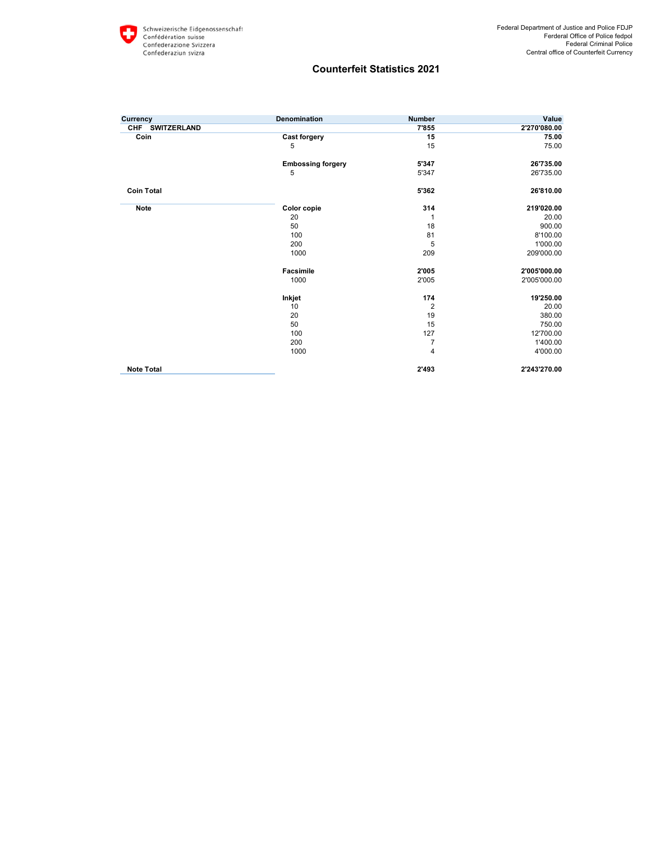## **Counterfeit Statistics 2021**

| Currency          | Denomination             | <b>Number</b>  | Value        |
|-------------------|--------------------------|----------------|--------------|
| CHF SWITZERLAND   |                          | 7'855          | 2'270'080.00 |
| Coin              | <b>Cast forgery</b>      | 15             | 75.00        |
|                   | 5                        | 15             | 75.00        |
|                   | <b>Embossing forgery</b> | 5'347          | 26'735.00    |
|                   | 5                        | 5'347          | 26'735.00    |
| <b>Coin Total</b> |                          | 5'362          | 26'810.00    |
| <b>Note</b>       | Color copie              | 314            | 219'020.00   |
|                   | 20                       | 1              | 20.00        |
|                   | 50                       | 18             | 900.00       |
|                   | 100                      | 81             | 8'100.00     |
|                   | 200                      | 5              | 1'000.00     |
|                   | 1000                     | 209            | 209'000.00   |
|                   | Facsimile                | 2'005          | 2'005'000.00 |
|                   | 1000                     | 2'005          | 2'005'000.00 |
|                   | Inkjet                   | 174            | 19'250.00    |
|                   | 10                       | $\overline{2}$ | 20.00        |
|                   | 20                       | 19             | 380.00       |
|                   | 50                       | 15             | 750.00       |
|                   | 100                      | 127            | 12'700.00    |
|                   | 200                      | $\overline{7}$ | 1'400.00     |
|                   | 1000                     | 4              | 4'000.00     |
| <b>Note Total</b> |                          | 2'493          | 2'243'270.00 |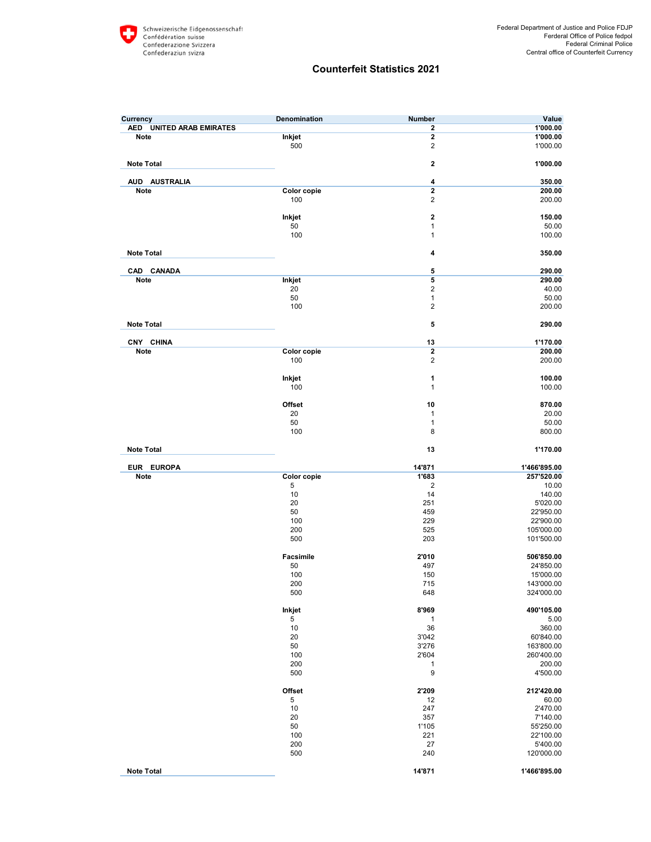## **Counterfeit Statistics 2021**

| Currency                 | Denomination     | <b>Number</b>           | Value                      |
|--------------------------|------------------|-------------------------|----------------------------|
| AED UNITED ARAB EMIRATES |                  | $\overline{\mathbf{2}}$ | 1'000.00                   |
| Note                     | Inkjet           | $\mathbf{2}$            | 1'000.00                   |
|                          | 500              | $\overline{2}$          | 1'000.00                   |
| <b>Note Total</b>        |                  | $\mathbf{2}$            | 1'000.00                   |
| AUD AUSTRALIA            |                  | 4                       | 350.00                     |
| <b>Note</b>              | Color copie      | $\overline{2}$          | 200.00                     |
|                          | 100              | $\overline{2}$          | 200.00                     |
|                          | Inkjet           | $\mathbf 2$             | 150.00                     |
|                          | 50               | 1                       | 50.00                      |
|                          | 100              | $\mathbf{1}$            | 100.00                     |
| <b>Note Total</b>        |                  | 4                       | 350.00                     |
| CAD CANADA               |                  | 5                       | 290.00                     |
| Note                     | Inkjet           | $\overline{\mathbf{5}}$ | 290.00                     |
|                          | 20               | $\overline{2}$          | 40.00                      |
|                          | 50               | $\mathbf{1}$            | 50.00                      |
|                          | 100              | $\overline{2}$          | 200.00                     |
| <b>Note Total</b>        |                  | 5                       | 290.00                     |
| CNY CHINA                |                  | 13                      | 1'170.00                   |
| Note                     | Color copie      | $\overline{2}$          | 200.00                     |
|                          | 100              | $\overline{2}$          | 200.00                     |
|                          | Inkjet           | 1                       | 100.00                     |
|                          | 100              | $\mathbf{1}$            | 100.00                     |
|                          | Offset           | 10                      | 870.00                     |
|                          | 20               | $\mathbf{1}$            | 20.00                      |
|                          | 50               | $\mathbf{1}$            | 50.00                      |
|                          | 100              | 8                       | 800.00                     |
| <b>Note Total</b>        |                  | 13                      | 1'170.00                   |
| EUR EUROPA               |                  | 14'871                  | 1'466'895.00               |
| Note                     | Color copie      | 1'683                   | 257'520.00                 |
|                          | 5<br>10          | $\overline{2}$<br>14    | 10.00                      |
|                          | 20               | 251                     | 140.00<br>5'020.00         |
|                          | 50               | 459                     | 22'950.00                  |
|                          | 100              | 229                     | 22'900.00                  |
|                          | 200              | 525                     | 105'000.00                 |
|                          | 500              | 203                     | 101'500.00                 |
|                          | <b>Facsimile</b> | 2'010                   | 506'850.00                 |
|                          | 50               | 497                     | 24'850.00                  |
|                          | 100              | 150                     | 15'000.00                  |
|                          | 200              | 715                     | 143'000.00                 |
|                          | 500              | 648                     | 324'000.00                 |
|                          | Inkjet           | 8'969                   | 490'105.00                 |
|                          | 5                | $\mathbf{1}$            | 5.00                       |
|                          | 10<br>20         | 36<br>3'042             | 360.00<br>60'840.00        |
|                          | 50               | 3'276                   | 163'800.00                 |
|                          | 100              | 2'604                   | 260'400.00                 |
|                          | 200              | $\mathbf{1}$            | 200.00                     |
|                          | 500              | 9                       | 4'500.00                   |
|                          | Offset           | 2'209                   | 212'420.00                 |
|                          | 5                | 12                      | 60.00                      |
|                          | 10               | 247                     | 2'470.00                   |
|                          | 20               | 357                     | 7'140.00                   |
|                          | 50               | 1'105                   | 55'250.00                  |
|                          | 100              | 221                     | 22'100.00<br>5'400.00      |
|                          |                  |                         |                            |
|                          | 200<br>500       | 27<br>240               |                            |
| <b>Note Total</b>        |                  | 14'871                  | 120'000.00<br>1'466'895.00 |